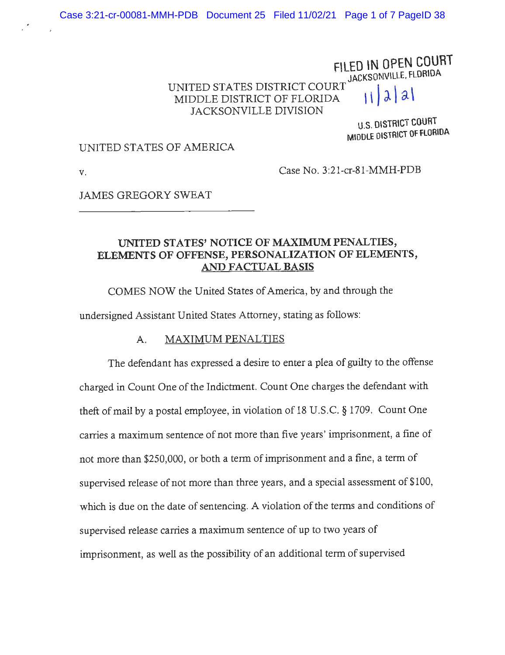# FILED IN OPEN COURT JACKSONVILLE, FLORIDA UNITED STATES DISTRICT COURT<br>MIDDLE DISTRICT OF FLORIDA **| | |** a **|** a JACKSONVILLE DIVISION

**U.S. DISTRICT COURT MIDDLE DISTRICT OF FLORIDA** 

#### UNITED STATES OF AMERICA

**V.** Case No. 3:21-cr-81-MMH-PDB

JAMES GREGORY SWEAT

# **UNITED STATES' NOTICE OF MAXIMUM PENALTIES, ELEMENTS OF OFFENSE, PERSONALIZATION OF ELEMENTS, AND FACTUAL BASIS**

COMES NOW the United States of America, by and through the

undersigned Assistant United States Attorney, stating as follows:

#### A. MAXIMUM PENALTIES

The defendant has expressed a desire to enter a plea of guilty to the offense charged in Count One of the Indictment. Count One charges the defendant with theft of mail by a postal employee, in violation of 18 U.S.C. § 1709. Count One carries a maximum sentence of not more than five years' imprisonment, a fine of not more than \$250,000, or both a term of imprisonment and a fine, a term of supervised release of not more than three years, and a special assessment of \$100, which is due on the date of sentencing. A violation of the terms and conditions of supervised release carries a maximum sentence of up to two years of imprisonment, as well as the possibility of an additional term of supervised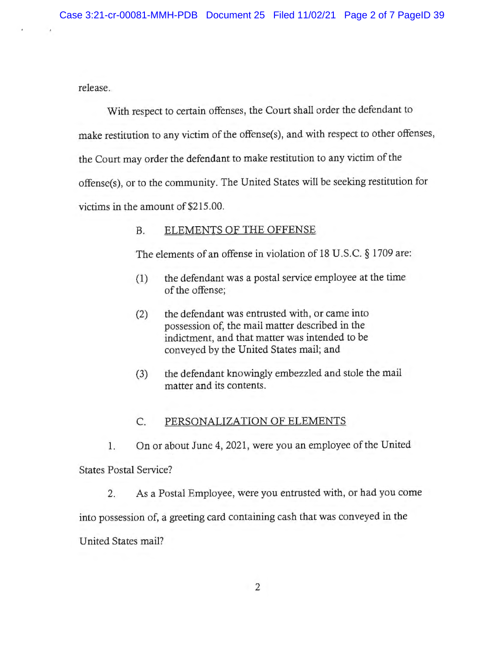release.

With respect to certain offenses, the Court shall order the defendant to make restitution to any victim of the offense(s), and with respect to other offenses, the Court may order the defendant to make restitution to any victim of the offense(s), or to the community. The United States will be seeking restitution for victims in the amount of \$215.00.

# B. ELEMENTS OF THE OFFENSE

The elements of an offense in violation of 18 U.S.C. § 1709 are:

- (1) the defendant was a postal service employee at the time of the offense;
- (2) the defendant was entrusted with, or came into possession of, the mail matter described in the indictment, and that matter was intended to be conveyed by the United States mail; and
- (3) the defendant knowingly embezzled and stole the mail matter and its contents.

# C. PERSONALIZATION OF ELEMENTS

I. On or about June 4, 2021, were you an employee of the United

States Postal Service?

2. As a Postal Employee, were you entrusted with, or had you come

into possession of, a greeting card containing cash that was conveyed in the

United States mail?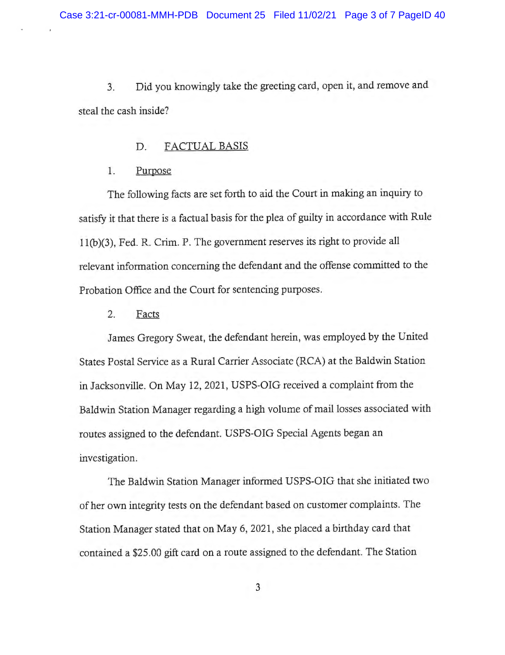3. Did you knowingly take the greeting card, open it, and remove and steal the cash inside?

#### D. FACTUAL BASIS

#### 1. Purpose

The following facts are set forth to aid the Court in making an inquiry to satisfy it that there is a factual basis for the plea of guilty in accordance with Rule I I(b)(3), Fed. R. Crim. P. The government reserves its right to provide all relevant information concerning the defendant and the offense committed to the Probation Office and the Court for sentencing purposes.

### 2. Facts

James Gregory Sweat, the defendant herein, was employed by the United States Postal Service as a Rural Carrier Associate (RCA) at the Baldwin Station in Jacksonville. On May 12, 2021, USPS-OIG received a complaint from the Baldwin Station Manager regarding a high volume of mail losses associated with routes assigned to the defendant. USPS-OIG Special Agents began an investigation.

The Baldwin Station Manager informed USPS-OIG that she initiated two of her own integrity tests on the defendant based on customer complaints. The Station Manager stated that on May 6, 2021, she placed a birthday card that contained a \$25.00 gift card on a route assigned to the defendant. The Station

3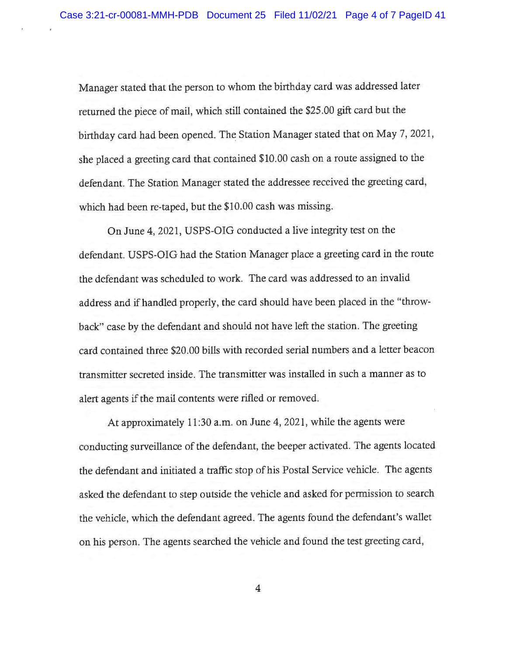Manager stated that the person to whom the birthday card was addressed later returned the piece of mail, which still contained the \$25.00 gift card but the birthday card had been opened. The Station Manager stated that on May 7, 2021 , she placed a greeting card that contained \$10.00 cash on a route assigned to the defendant. The Station Manager stated the addressee received the greeting card, which had been re-taped, but the \$10.00 cash was missing.

On June 4, 2021, USPS-OIG conducted a live integrity test on the defendant. USPS-OIG had the Station Manager place a greeting card in the route the defendant was scheduled to work. The card was addressed to an invalid address and if handled properly, the card should have been placed in the "throwback" case by the defendant and should not have left the station. The greeting card contained three \$20.00 bills with recorded serial numbers and a letter beacon transmitter secreted inside. The transmitter was installed in such a manner as to alert agents if the mail contents were rifled or removed.

At approximately 11:30 a.m. on June 4, 2021, while the agents were conducting surveillance of the defendant, the beeper activated. The agents located the defendant and initiated a traffic stop of his Postal Service vehicle. The agents asked the defendant to step outside the vehicle and asked for permission to search the vehicle, which the defendant agreed. The agents found the defendant's wallet on his person. The agents searched the vehicle and found the test greeting card,

4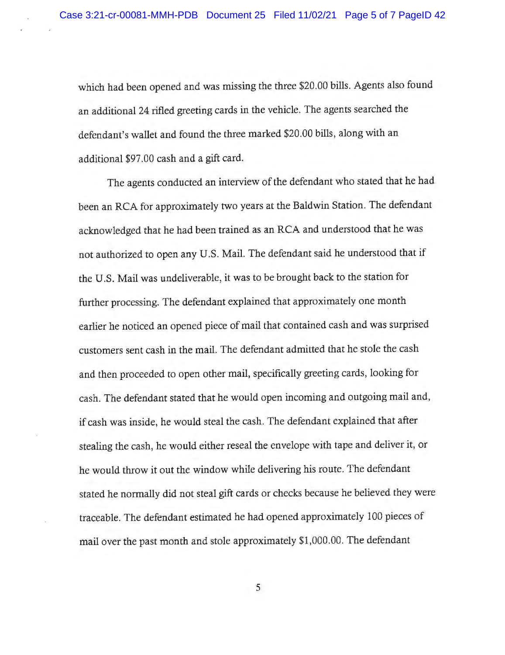which had been opened and was missing the three \$20.00 bills. Agents also found an additional 24 rifled greeting cards in the vehicle. The agents searched the defendant's wallet and found the three marked \$20.00 bills, along with an additional \$97 .00 cash and a gift card.

The agents conducted an interview of the defendant who stated that he had been an RCA for approximately two years at the Baldwin Station. The defendant acknowledged that he had been trained as an RCA and understood that he was not authorized to open any U.S. Mail. The defendant said he understood that if the U.S. Mail was undeliverable, it was to be brought back to the station for further processing. The defendant explained that approximately one month earlier he noticed an opened piece of mail that contained cash and was surprised customers sent cash in the mail. The defendant admitted that he stole the cash and then proceeded to open other mail, specifically greeting cards, looking for cash. The defendant stated that he would open incoming and outgoing mail and, if cash was inside, he would steal the cash. The defendant explained that after stealing the cash, he would either reseal the envelope with tape and deliver it, or he would throw it out the window while delivering his route. The defendant stated he normally did not steal gift cards or checks because he believed they were traceable. The defendant estimated he had opened approximately 100 pieces of mail over the past month and stole approximately \$1,000.00. The defendant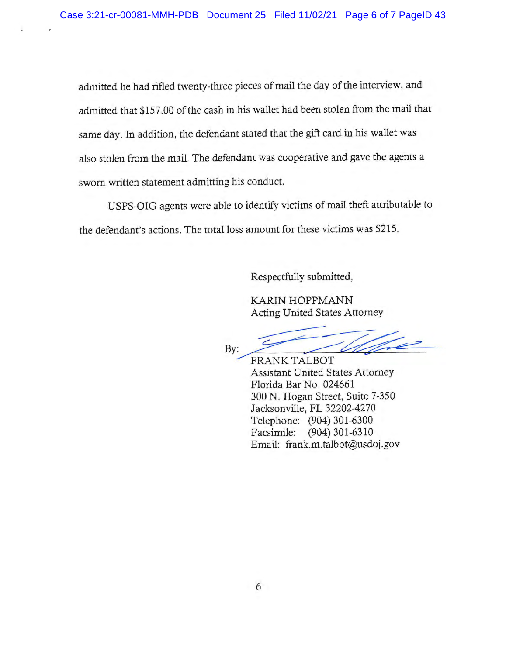admitted he had rifled twenty-three pieces of mail the day of the interview, and admitted that \$157.00 of the cash in his wallet had been stolen from the mail that same day. In addition, the defendant stated that the gift card in his wallet was also stolen from the mail. The defendant was cooperative and gave the agents a sworn written statement admitting his conduct.

USFS-OIG agents were able to identify victims of mail theft attributable to the defendant's actions. The total loss amount for these victims was \$215.

Respectfully submitted,

KARIN HOFFMANN Acting United States Attorney

Respectfully submitted,<br>
KARIN HOPPMANN<br>
Acting United States Attorney<br>
By:<br>
FRANK TALBOT<br>
Assistant United States Attorney<br>
Florida Bar No. 024661

FRANK TALBOT Assistant United States Attorney Florida Bar No. 024661 300 N. Hogan Street, Suite 7-350 Jacksonville, FL 32202-4270 Telephone: (904) 301-6300 Facsimile: (904) 301-6310 Email: frank.m.talbot@usdoj.gov

6